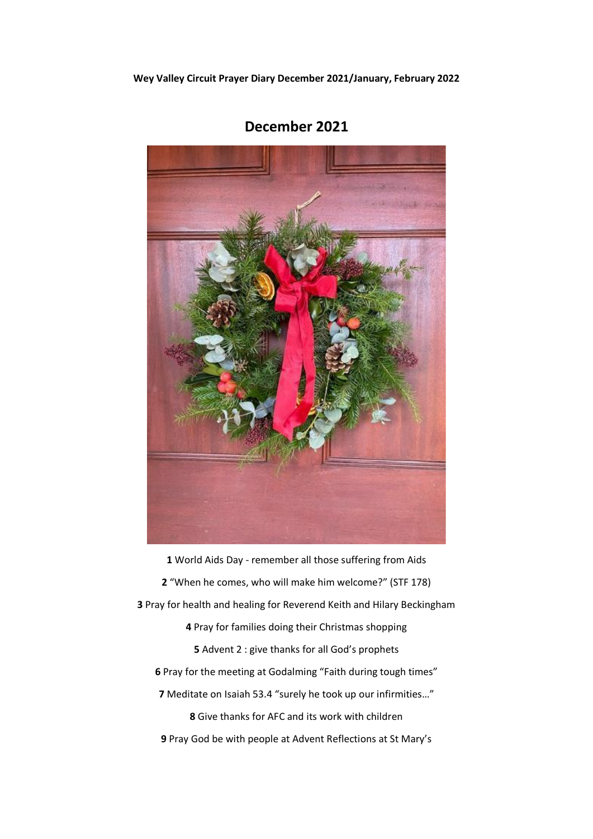**Wey Valley Circuit Prayer Diary December 2021/January, February 2022**



**December 2021**

 World Aids Day - remember all those suffering from Aids "When he comes, who will make him welcome?" (STF 178) Pray for health and healing for Reverend Keith and Hilary Beckingham Pray for families doing their Christmas shopping Advent 2 : give thanks for all God's prophets Pray for the meeting at Godalming "Faith during tough times" Meditate on Isaiah 53.4 "surely he took up our infirmities…" Give thanks for AFC and its work with children Pray God be with people at Advent Reflections at St Mary's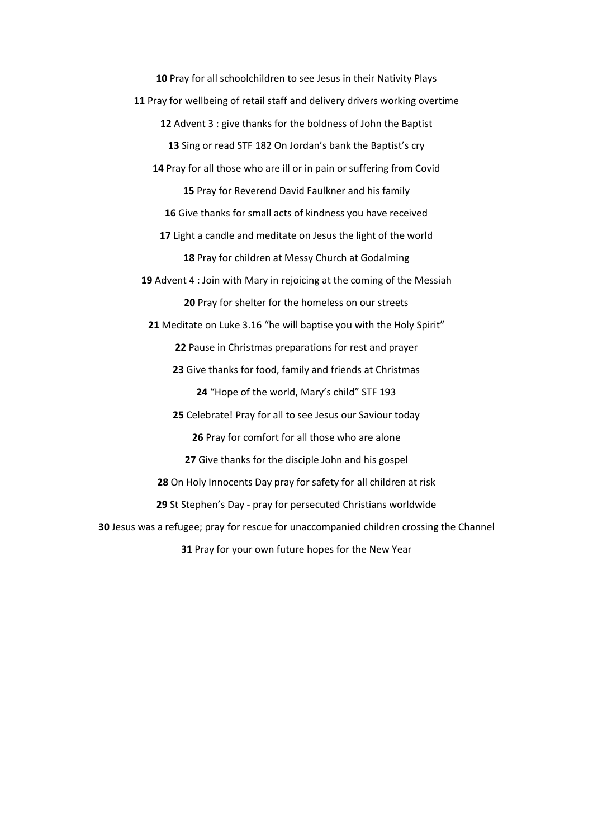Pray for all schoolchildren to see Jesus in their Nativity Plays Pray for wellbeing of retail staff and delivery drivers working overtime Advent 3 : give thanks for the boldness of John the Baptist Sing or read STF 182 On Jordan's bank the Baptist's cry Pray for all those who are ill or in pain or suffering from Covid Pray for Reverend David Faulkner and his family Give thanks for small acts of kindness you have received Light a candle and meditate on Jesus the light of the world Pray for children at Messy Church at Godalming Advent 4 : Join with Mary in rejoicing at the coming of the Messiah Pray for shelter for the homeless on our streets Meditate on Luke 3.16 "he will baptise you with the Holy Spirit" Pause in Christmas preparations for rest and prayer Give thanks for food, family and friends at Christmas "Hope of the world, Mary's child" STF 193 Celebrate! Pray for all to see Jesus our Saviour today Pray for comfort for all those who are alone Give thanks for the disciple John and his gospel On Holy Innocents Day pray for safety for all children at risk St Stephen's Day - pray for persecuted Christians worldwide Jesus was a refugee; pray for rescue for unaccompanied children crossing the Channel Pray for your own future hopes for the New Year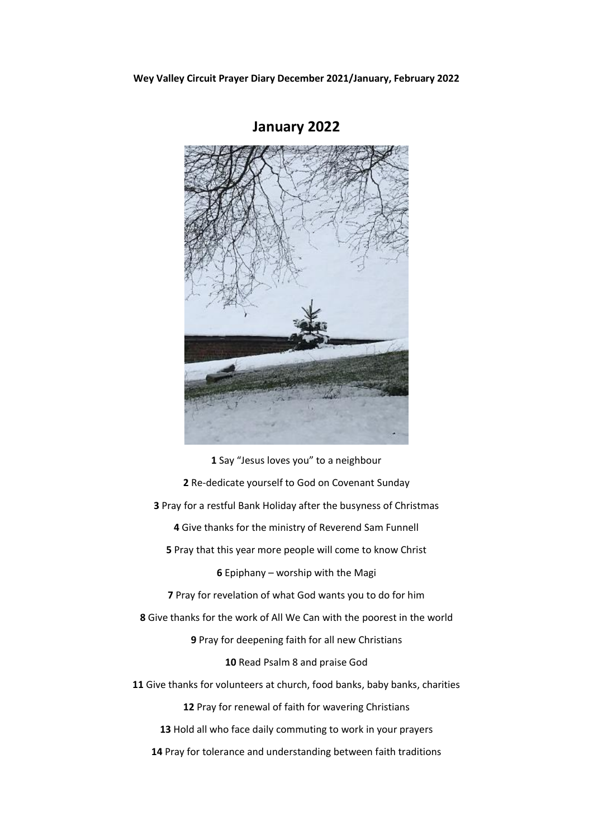**Wey Valley Circuit Prayer Diary December 2021/January, February 2022**



**January 2022**

 Say "Jesus loves you" to a neighbour Re-dedicate yourself to God on Covenant Sunday Pray for a restful Bank Holiday after the busyness of Christmas Give thanks for the ministry of Reverend Sam Funnell Pray that this year more people will come to know Christ Epiphany – worship with the Magi Pray for revelation of what God wants you to do for him Give thanks for the work of All We Can with the poorest in the world Pray for deepening faith for all new Christians Read Psalm 8 and praise God Give thanks for volunteers at church, food banks, baby banks, charities Pray for renewal of faith for wavering Christians Hold all who face daily commuting to work in your prayers Pray for tolerance and understanding between faith traditions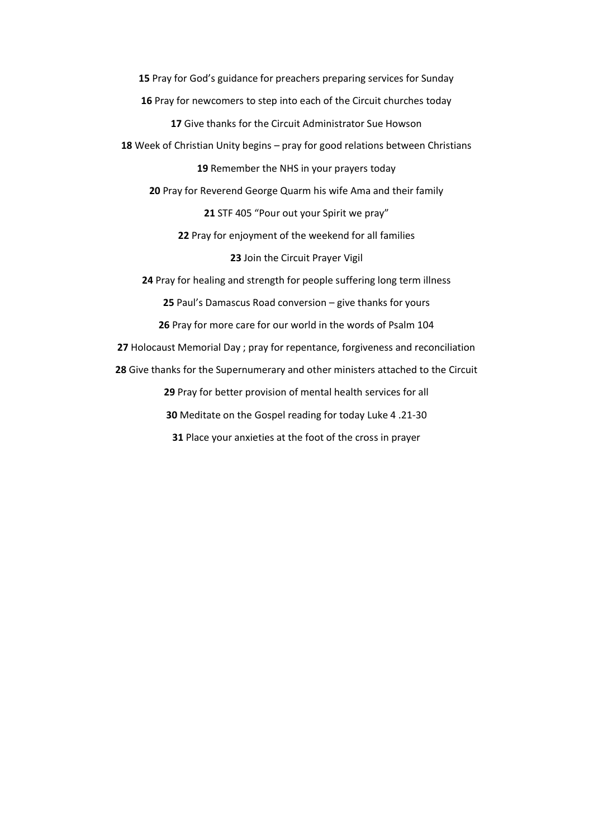Pray for God's guidance for preachers preparing services for Sunday 16 Pray for newcomers to step into each of the Circuit churches today Give thanks for the Circuit Administrator Sue Howson Week of Christian Unity begins – pray for good relations between Christians 19 Remember the NHS in your prayers today Pray for Reverend George Quarm his wife Ama and their family STF 405 "Pour out your Spirit we pray" Pray for enjoyment of the weekend for all families Join the Circuit Prayer Vigil Pray for healing and strength for people suffering long term illness Paul's Damascus Road conversion – give thanks for yours Pray for more care for our world in the words of Psalm 104 Holocaust Memorial Day ; pray for repentance, forgiveness and reconciliation Give thanks for the Supernumerary and other ministers attached to the Circuit Pray for better provision of mental health services for all Meditate on the Gospel reading for today Luke 4 .21-30 Place your anxieties at the foot of the cross in prayer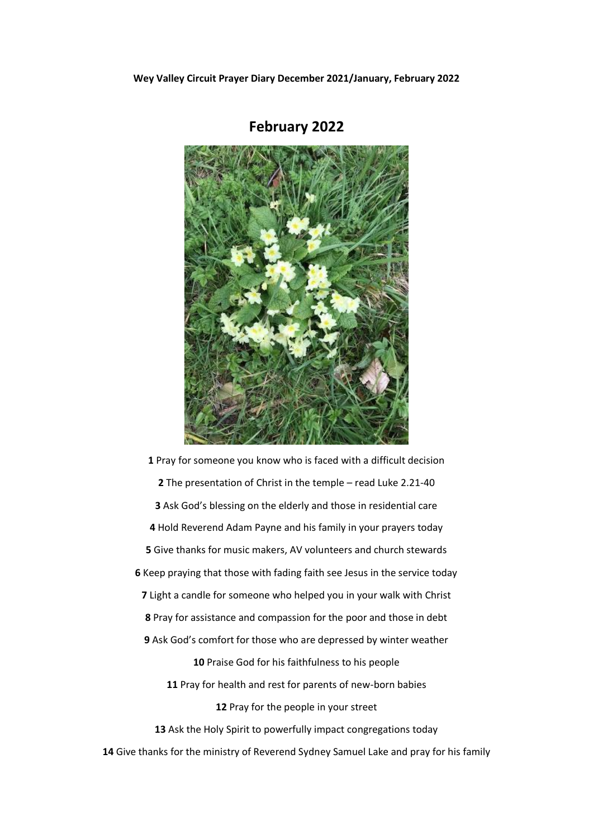**Wey Valley Circuit Prayer Diary December 2021/January, February 2022**



## **February 2022**

 Pray for someone you know who is faced with a difficult decision The presentation of Christ in the temple – read Luke 2.21-40 Ask God's blessing on the elderly and those in residential care Hold Reverend Adam Payne and his family in your prayers today Give thanks for music makers, AV volunteers and church stewards Keep praying that those with fading faith see Jesus in the service today Light a candle for someone who helped you in your walk with Christ Pray for assistance and compassion for the poor and those in debt Ask God's comfort for those who are depressed by winter weather Praise God for his faithfulness to his people Pray for health and rest for parents of new-born babies Pray for the people in your street Ask the Holy Spirit to powerfully impact congregations today Give thanks for the ministry of Reverend Sydney Samuel Lake and pray for his family